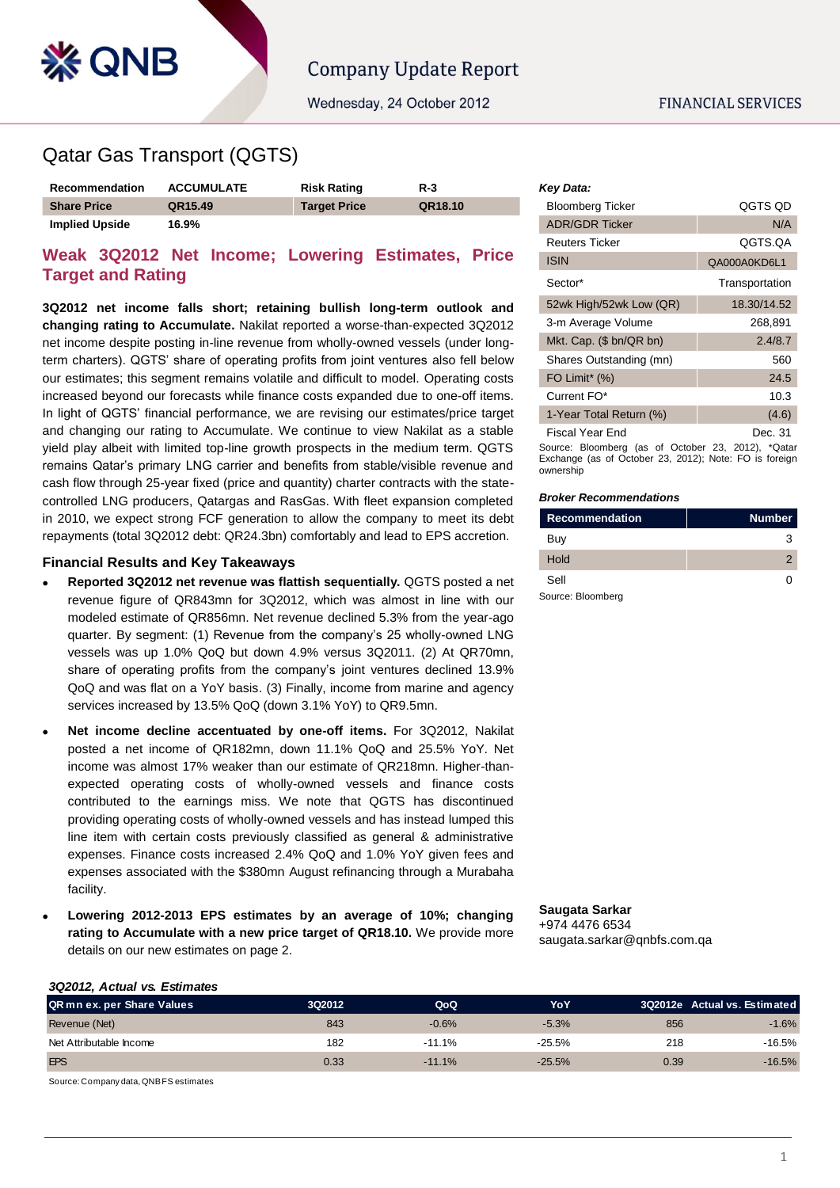

# Qatar Gas Transport (QGTS)

**& QNB** 

| Recommendation        | <b>ACCUMULATE</b> | <b>Risk Rating</b>  | $R-3$   |
|-----------------------|-------------------|---------------------|---------|
| <b>Share Price</b>    | QR15.49           | <b>Target Price</b> | QR18.10 |
| <b>Implied Upside</b> | 16.9%             |                     |         |

## **Weak 3Q2012 Net Income; Lowering Estimates, Price Target and Rating**

**3Q2012 net income falls short; retaining bullish long-term outlook and changing rating to Accumulate.** Nakilat reported a worse-than-expected 3Q2012 net income despite posting in-line revenue from wholly-owned vessels (under longterm charters). QGTS' share of operating profits from joint ventures also fell below our estimates; this segment remains volatile and difficult to model. Operating costs increased beyond our forecasts while finance costs expanded due to one-off items. In light of QGTS' financial performance, we are revising our estimates/price target and changing our rating to Accumulate. We continue to view Nakilat as a stable yield play albeit with limited top-line growth prospects in the medium term. QGTS remains Qatar's primary LNG carrier and benefits from stable/visible revenue and cash flow through 25-year fixed (price and quantity) charter contracts with the statecontrolled LNG producers, Qatargas and RasGas. With fleet expansion completed in 2010, we expect strong FCF generation to allow the company to meet its debt repayments (total 3Q2012 debt: QR24.3bn) comfortably and lead to EPS accretion.

### **Financial Results and Key Takeaways**

- **Reported 3Q2012 net revenue was flattish sequentially.** QGTS posted a net revenue figure of QR843mn for 3Q2012, which was almost in line with our modeled estimate of QR856mn. Net revenue declined 5.3% from the year-ago quarter. By segment: (1) Revenue from the company's 25 wholly-owned LNG vessels was up 1.0% QoQ but down 4.9% versus 3Q2011. (2) At QR70mn, share of operating profits from the company's joint ventures declined 13.9% QoQ and was flat on a YoY basis. (3) Finally, income from marine and agency services increased by 13.5% QoQ (down 3.1% YoY) to QR9.5mn.
- **Net income decline accentuated by one-off items.** For 3Q2012, Nakilat posted a net income of QR182mn, down 11.1% QoQ and 25.5% YoY. Net income was almost 17% weaker than our estimate of QR218mn. Higher-thanexpected operating costs of wholly-owned vessels and finance costs contributed to the earnings miss. We note that QGTS has discontinued providing operating costs of wholly-owned vessels and has instead lumped this line item with certain costs previously classified as general & administrative expenses. Finance costs increased 2.4% QoQ and 1.0% YoY given fees and expenses associated with the \$380mn August refinancing through a Murabaha facility.
- **Lowering 2012-2013 EPS estimates by an average of 10%; changing rating to Accumulate with a new price target of QR18.10.** We provide more details on our new estimates on page 2.

#### *Key Data:*

| <b>Bloomberg Ticker</b>   | QGTS QD        |
|---------------------------|----------------|
| <b>ADR/GDR Ticker</b>     | N/A            |
| Reuters Ticker            | QGTS.QA        |
| <b>ISIN</b>               | QA000A0KD6L1   |
| Sector*                   | Transportation |
| 52wk High/52wk Low (QR)   | 18.30/14.52    |
| 3-m Average Volume        | 268,891        |
| Mkt. Cap. $(\$~bn/QR~bn)$ | 2.4/8.7        |
| Shares Outstanding (mn)   | 560            |
| FO Limit* (%)             | 24.5           |
| Current FO*               | 10.3           |
| 1-Year Total Return (%)   | (4.6)          |
| <b>Fiscal Year End</b>    | Dec. 31        |

Source: Bloomberg (as of October 23, 2012), \*Qatar Exchange (as of October 23, 2012); Note: FO is foreign ownership

#### *Broker Recommendations*

| <b>Recommendation</b> | <b>Number</b> |
|-----------------------|---------------|
| Buy                   |               |
| Hold                  |               |
| Sell                  |               |
| Source: Bloomberg     |               |

**Saugata Sarkar** +974 4476 6534 saugata.sarkar@qnbfs.com.qa

#### *3Q2012, Actual vs. Estimates*

| QR mn ex. per Share Values | 3Q2012 | QoQ      | YoY      |      | 3Q2012e Actual vs. Estimated |
|----------------------------|--------|----------|----------|------|------------------------------|
| Revenue (Net)              | 843    | $-0.6%$  | $-5.3%$  | 856  | $-1.6%$                      |
| Net Attributable Income    | 182    | $-11.1%$ | $-25.5%$ | 218  | -16.5%                       |
| <b>EPS</b>                 | 0.33   | $-11.1%$ | $-25.5%$ | 0.39 | $-16.5%$                     |

Source: Company data, QNBFS estimates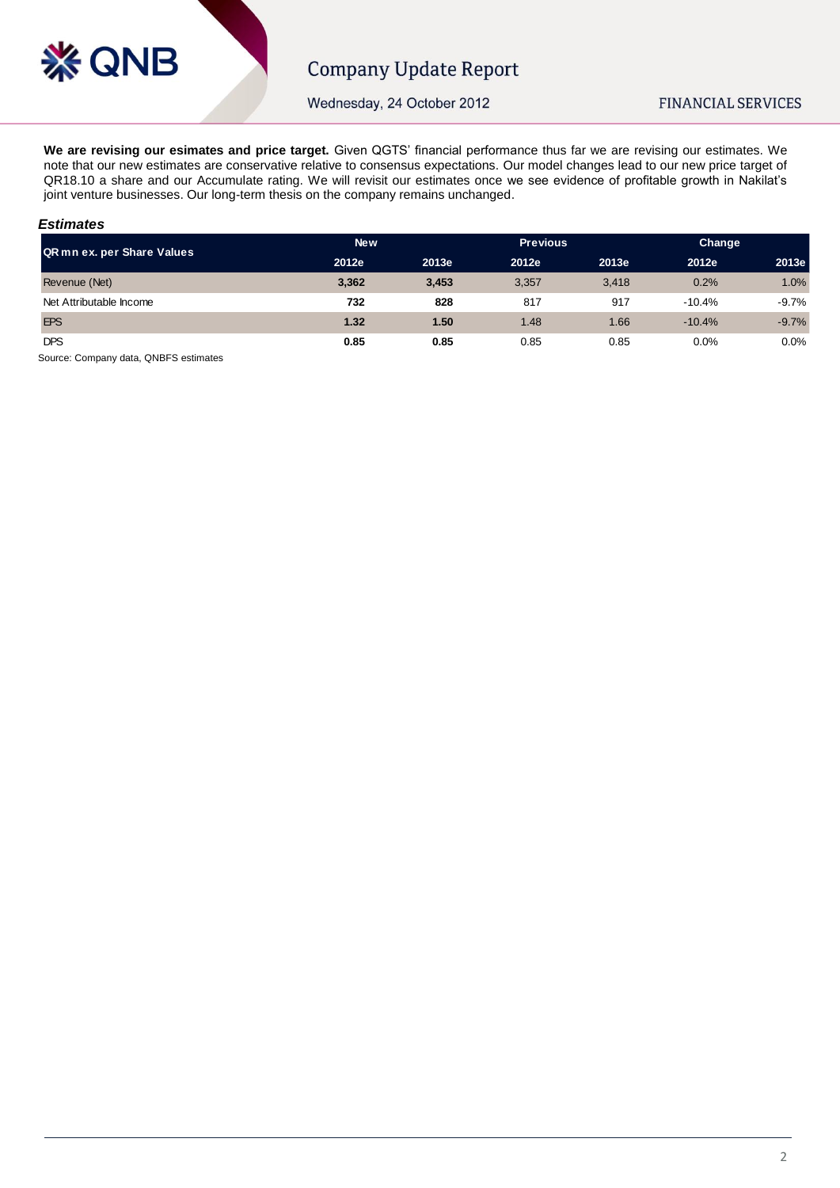

Wednesday, 24 October 2012

**We are revising our esimates and price target.** Given QGTS' financial performance thus far we are revising our estimates. We note that our new estimates are conservative relative to consensus expectations. Our model changes lead to our new price target of QR18.10 a share and our Accumulate rating. We will revisit our estimates once we see evidence of profitable growth in Nakilat's joint venture businesses. Our long-term thesis on the company remains unchanged.

#### *Estimates*

| QR mn ex. per Share Values | New   |       | <b>Previous</b> |       |          | Change  |  |
|----------------------------|-------|-------|-----------------|-------|----------|---------|--|
|                            | 2012e | 2013e | 2012e           | 2013e | 2012e    | 2013e   |  |
| Revenue (Net)              | 3,362 | 3,453 | 3,357           | 3.418 | 0.2%     | 1.0%    |  |
| Net Attributable Income    | 732   | 828   | 817             | 917   | $-10.4%$ | $-9.7%$ |  |
| <b>EPS</b>                 | 1.32  | 1.50  | 1.48            | 1.66  | $-10.4%$ | $-9.7%$ |  |
| <b>DPS</b>                 | 0.85  | 0.85  | 0.85            | 0.85  | 0.0%     | 0.0%    |  |

Source: Company data, QNBFS estimates